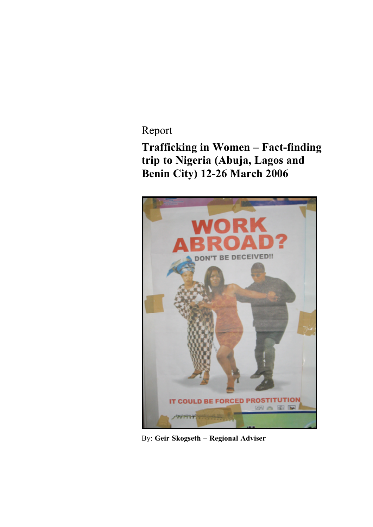Report

**Trafficking in Women – Fact-finding trip to Nigeria (Abuja, Lagos and Benin City) 12-26 March 2006**



By: **Geir Skogseth – Regional Adviser**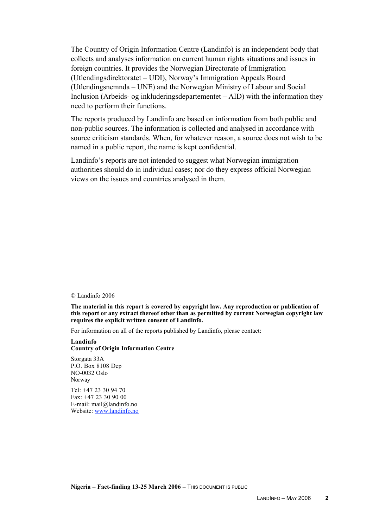The Country of Origin Information Centre (Landinfo) is an independent body that collects and analyses information on current human rights situations and issues in foreign countries. It provides the Norwegian Directorate of Immigration (Utlendingsdirektoratet – UDI), Norway's Immigration Appeals Board (Utlendingsnemnda – UNE) and the Norwegian Ministry of Labour and Social Inclusion (Arbeids- og inkluderingsdepartementet – AID) with the information they need to perform their functions.

The reports produced by Landinfo are based on information from both public and non-public sources. The information is collected and analysed in accordance with source criticism standards. When, for whatever reason, a source does not wish to be named in a public report, the name is kept confidential.

Landinfo's reports are not intended to suggest what Norwegian immigration authorities should do in individual cases; nor do they express official Norwegian views on the issues and countries analysed in them.

© Landinfo 2006

**The material in this report is covered by copyright law. Any reproduction or publication of this report or any extract thereof other than as permitted by current Norwegian copyright law requires the explicit written consent of Landinfo.**

For information on all of the reports published by Landinfo, please contact:

**Landinfo Country of Origin Information Centre**

Storgata 33A P.O. Box 8108 Dep NO-0032 Oslo Norway

Tel: +47 23 30 94 70 Fax: +47 23 30 90 00 E-mail: mail@landinfo.no Website: www.landinfo.no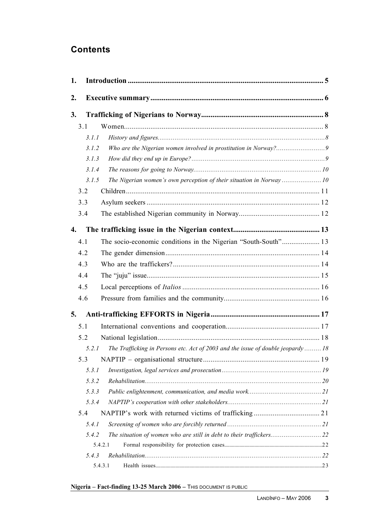# **Contents**

| 1. |       |                                                                                 |  |
|----|-------|---------------------------------------------------------------------------------|--|
| 2. |       |                                                                                 |  |
| 3. |       |                                                                                 |  |
|    | 3.1   |                                                                                 |  |
|    | 3.1.1 |                                                                                 |  |
|    | 3.1.2 |                                                                                 |  |
|    | 3.1.3 |                                                                                 |  |
|    | 3.1.4 |                                                                                 |  |
|    | 3.1.5 | The Nigerian women's own perception of their situation in Norway10              |  |
|    | 3.2   |                                                                                 |  |
|    | 3.3   |                                                                                 |  |
|    | 3.4   |                                                                                 |  |
| 4. |       |                                                                                 |  |
|    | 4.1   |                                                                                 |  |
|    | 4.2   |                                                                                 |  |
|    | 4.3   |                                                                                 |  |
|    | 4.4   |                                                                                 |  |
|    | 4.5   |                                                                                 |  |
|    | 4.6   |                                                                                 |  |
| 5. |       |                                                                                 |  |
|    | 5.1   |                                                                                 |  |
|    | 5.2   |                                                                                 |  |
|    | 5.2.1 | The Trafficking in Persons etc. Act of 2003 and the issue of double jeopardy 18 |  |
|    | 5.3   |                                                                                 |  |
|    | 5.3.1 |                                                                                 |  |
|    | 5.3.2 |                                                                                 |  |
|    | 5.3.3 |                                                                                 |  |
|    | 5.3.4 |                                                                                 |  |
|    | 5.4   |                                                                                 |  |
|    | 5.4.1 |                                                                                 |  |
|    | 5.4.2 |                                                                                 |  |
|    |       | 5.4.2.1                                                                         |  |
|    | 5.4.3 |                                                                                 |  |
|    |       | 5.4.3.1                                                                         |  |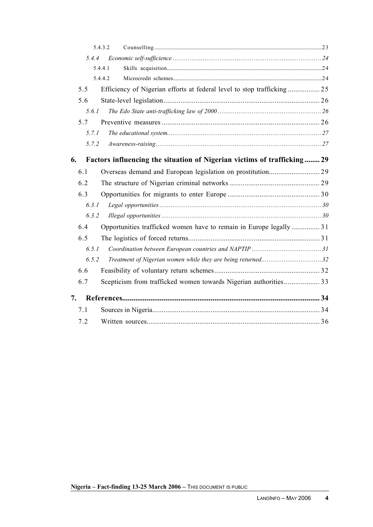|       | 5.4.3.2                                                                 |  |
|-------|-------------------------------------------------------------------------|--|
| 5.4.4 |                                                                         |  |
|       | 5.4.4.1                                                                 |  |
|       | 5.4.4.2                                                                 |  |
| 5.5   | Efficiency of Nigerian efforts at federal level to stop trafficking 25  |  |
| 5.6   |                                                                         |  |
| 5.6.1 |                                                                         |  |
| 5.7   |                                                                         |  |
| 5.7.1 |                                                                         |  |
| 5.7.2 |                                                                         |  |
| 6.    | Factors influencing the situation of Nigerian victims of trafficking 29 |  |
| 6.1   |                                                                         |  |
| 6.2   |                                                                         |  |
| 6.3   |                                                                         |  |
| 6.3.1 |                                                                         |  |
| 6.3.2 |                                                                         |  |
| 6.4   | Opportunities trafficked women have to remain in Europe legally  31     |  |
| 6.5   |                                                                         |  |
| 6.5.1 |                                                                         |  |
| 6.5.2 |                                                                         |  |
| 6.6   |                                                                         |  |
| 6.7   | Scepticism from trafficked women towards Nigerian authorities 33        |  |
| 7.    |                                                                         |  |
| 7.1   |                                                                         |  |
| 7.2   |                                                                         |  |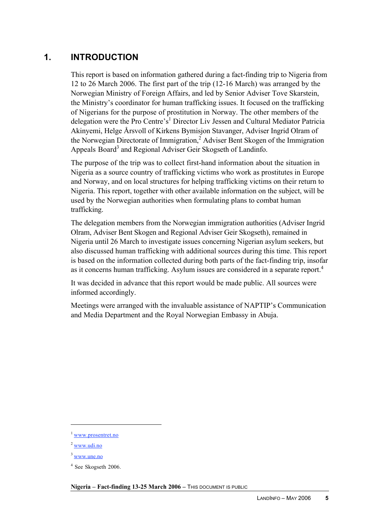# **1. INTRODUCTION**

This report is based on information gathered during a fact-finding trip to Nigeria from 12 to 26 March 2006. The first part of the trip (12-16 March) was arranged by the Norwegian Ministry of Foreign Affairs, and led by Senior Adviser Tove Skarstein, the Ministry's coordinator for human trafficking issues. It focused on the trafficking of Nigerians for the purpose of prostitution in Norway. The other members of the delegation were the Pro Centre's<sup>1</sup> Director Liv Jessen and Cultural Mediator Patricia Akinyemi, Helge Årsvoll of Kirkens Bymisjon Stavanger, Adviser Ingrid Olram of the Norwegian Directorate of Immigration,<sup>2</sup> Adviser Bent Skogen of the Immigration Appeals Board<sup>3</sup> and Regional Adviser Geir Skogseth of Landinfo.

The purpose of the trip was to collect first-hand information about the situation in Nigeria as a source country of trafficking victims who work as prostitutes in Europe and Norway, and on local structures for helping trafficking victims on their return to Nigeria. This report, together with other available information on the subject, will be used by the Norwegian authorities when formulating plans to combat human trafficking.

The delegation members from the Norwegian immigration authorities (Adviser Ingrid Olram, Adviser Bent Skogen and Regional Adviser Geir Skogseth), remained in Nigeria until 26 March to investigate issues concerning Nigerian asylum seekers, but also discussed human trafficking with additional sources during this time. This report is based on the information collected during both parts of the fact-finding trip, insofar as it concerns human trafficking. Asylum issues are considered in a separate report.<sup>4</sup>

It was decided in advance that this report would be made public. All sources were informed accordingly.

Meetings were arranged with the invaluable assistance of NAPTIP's Communication and Media Department and the Royal Norwegian Embassy in Abuja.

 $\overline{a}$ 

<sup>&</sup>lt;sup>1</sup> www.prosentret.no

<sup>2</sup> www.udi.no

<sup>3</sup> www.une.no

<sup>4</sup> See Skogseth 2006.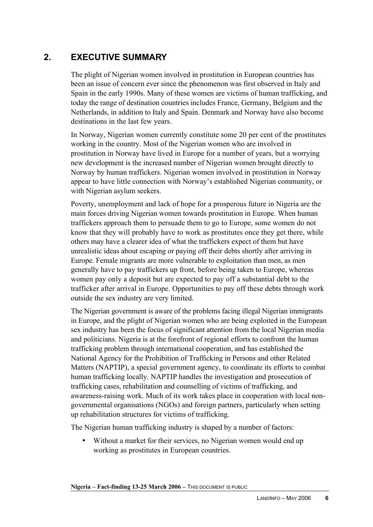# **2. EXECUTIVE SUMMARY**

The plight of Nigerian women involved in prostitution in European countries has been an issue of concern ever since the phenomenon was first observed in Italy and Spain in the early 1990s. Many of these women are victims of human trafficking, and today the range of destination countries includes France, Germany, Belgium and the Netherlands, in addition to Italy and Spain. Denmark and Norway have also become destinations in the last few years.

In Norway, Nigerian women currently constitute some 20 per cent of the prostitutes working in the country. Most of the Nigerian women who are involved in prostitution in Norway have lived in Europe for a number of years, but a worrying new development is the increased number of Nigerian women brought directly to Norway by human traffickers. Nigerian women involved in prostitution in Norway appear to have little connection with Norway's established Nigerian community, or with Nigerian asylum seekers.

Poverty, unemployment and lack of hope for a prosperous future in Nigeria are the main forces driving Nigerian women towards prostitution in Europe. When human traffickers approach them to persuade them to go to Europe, some women do not know that they will probably have to work as prostitutes once they get there, while others may have a clearer idea of what the traffickers expect of them but have unrealistic ideas about escaping or paying off their debts shortly after arriving in Europe. Female migrants are more vulnerable to exploitation than men, as men generally have to pay traffickers up front, before being taken to Europe, whereas women pay only a deposit but are expected to pay off a substantial debt to the trafficker after arrival in Europe. Opportunities to pay off these debts through work outside the sex industry are very limited.

The Nigerian government is aware of the problems facing illegal Nigerian immigrants in Europe, and the plight of Nigerian women who are being exploited in the European sex industry has been the focus of significant attention from the local Nigerian media and politicians. Nigeria is at the forefront of regional efforts to confront the human trafficking problem through international cooperation, and has established the National Agency for the Prohibition of Trafficking in Persons and other Related Matters (NAPTIP), a special government agency, to coordinate its efforts to combat human trafficking locally. NAPTIP handles the investigation and prosecution of trafficking cases, rehabilitation and counselling of victims of trafficking, and awareness-raising work. Much of its work takes place in cooperation with local nongovernmental organisations (NGOs) and foreign partners, particularly when setting up rehabilitation structures for victims of trafficking.

The Nigerian human trafficking industry is shaped by a number of factors:

• Without a market for their services, no Nigerian women would end up working as prostitutes in European countries.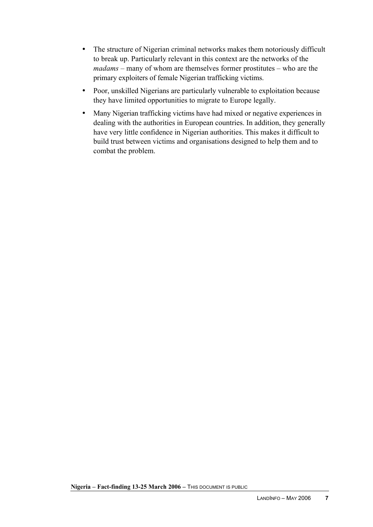- The structure of Nigerian criminal networks makes them notoriously difficult to break up. Particularly relevant in this context are the networks of the *madams* – many of whom are themselves former prostitutes – who are the primary exploiters of female Nigerian trafficking victims.
- Poor, unskilled Nigerians are particularly vulnerable to exploitation because they have limited opportunities to migrate to Europe legally.
- Many Nigerian trafficking victims have had mixed or negative experiences in dealing with the authorities in European countries. In addition, they generally have very little confidence in Nigerian authorities. This makes it difficult to build trust between victims and organisations designed to help them and to combat the problem.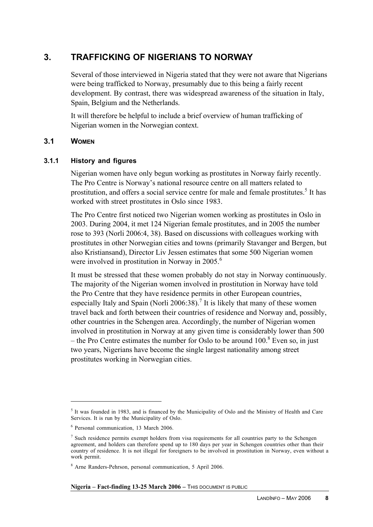# **3. TRAFFICKING OF NIGERIANS TO NORWAY**

Several of those interviewed in Nigeria stated that they were not aware that Nigerians were being trafficked to Norway, presumably due to this being a fairly recent development. By contrast, there was widespread awareness of the situation in Italy, Spain, Belgium and the Netherlands.

It will therefore be helpful to include a brief overview of human trafficking of Nigerian women in the Norwegian context.

# **3.1 WOMEN**

 $\overline{a}$ 

# **3.1.1 History and figures**

Nigerian women have only begun working as prostitutes in Norway fairly recently. The Pro Centre is Norway's national resource centre on all matters related to prostitution, and offers a social service centre for male and female prostitutes.<sup>5</sup> It has worked with street prostitutes in Oslo since 1983.

The Pro Centre first noticed two Nigerian women working as prostitutes in Oslo in 2003. During 2004, it met 124 Nigerian female prostitutes, and in 2005 the number rose to 393 (Norli 2006:4, 38). Based on discussions with colleagues working with prostitutes in other Norwegian cities and towns (primarily Stavanger and Bergen, but also Kristiansand), Director Liv Jessen estimates that some 500 Nigerian women were involved in prostitution in Norway in 2005.<sup>6</sup>

It must be stressed that these women probably do not stay in Norway continuously. The majority of the Nigerian women involved in prostitution in Norway have told the Pro Centre that they have residence permits in other European countries, especially Italy and Spain (Norli 2006:38).<sup>7</sup> It is likely that many of these women travel back and forth between their countries of residence and Norway and, possibly, other countries in the Schengen area. Accordingly, the number of Nigerian women involved in prostitution in Norway at any given time is considerably lower than 500 – the Pro Centre estimates the number for Oslo to be around  $100$ .<sup>8</sup> Even so, in just two years, Nigerians have become the single largest nationality among street prostitutes working in Norwegian cities.

<sup>&</sup>lt;sup>5</sup> It was founded in 1983, and is financed by the Municipality of Oslo and the Ministry of Health and Care Services. It is run by the Municipality of Oslo.

<sup>6</sup> Personal communication, 13 March 2006.

<sup>7</sup> Such residence permits exempt holders from visa requirements for all countries party to the Schengen agreement, and holders can therefore spend up to 180 days per year in Schengen countries other than their country of residence. It is not illegal for foreigners to be involved in prostitution in Norway, even without a work permit.

<sup>8</sup> Arne Randers-Pehrson, personal communication, 5 April 2006.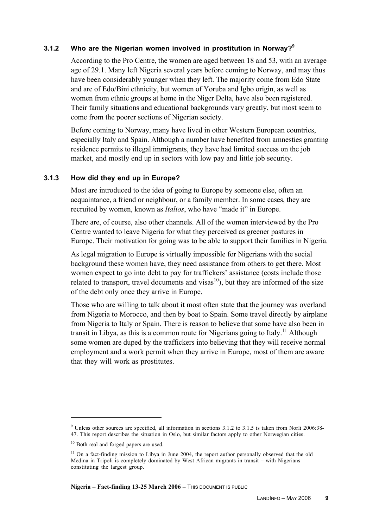# **3.1.2 Who are the Nigerian women involved in prostitution in Norway?<sup>9</sup>**

According to the Pro Centre, the women are aged between 18 and 53, with an average age of 29.1. Many left Nigeria several years before coming to Norway, and may thus have been considerably younger when they left. The majority come from Edo State and are of Edo/Bini ethnicity, but women of Yoruba and Igbo origin, as well as women from ethnic groups at home in the Niger Delta, have also been registered. Their family situations and educational backgrounds vary greatly, but most seem to come from the poorer sections of Nigerian society.

Before coming to Norway, many have lived in other Western European countries, especially Italy and Spain. Although a number have benefited from amnesties granting residence permits to illegal immigrants, they have had limited success on the job market, and mostly end up in sectors with low pay and little job security.

### **3.1.3 How did they end up in Europe?**

Most are introduced to the idea of going to Europe by someone else, often an acquaintance, a friend or neighbour, or a family member. In some cases, they are recruited by women, known as *Italios*, who have "made it" in Europe.

There are, of course, also other channels. All of the women interviewed by the Pro Centre wanted to leave Nigeria for what they perceived as greener pastures in Europe. Their motivation for going was to be able to support their families in Nigeria.

As legal migration to Europe is virtually impossible for Nigerians with the social background these women have, they need assistance from others to get there. Most women expect to go into debt to pay for traffickers' assistance (costs include those related to transport, travel documents and visas<sup>10</sup>), but they are informed of the size of the debt only once they arrive in Europe.

Those who are willing to talk about it most often state that the journey was overland from Nigeria to Morocco, and then by boat to Spain. Some travel directly by airplane from Nigeria to Italy or Spain. There is reason to believe that some have also been in transit in Libya, as this is a common route for Nigerians going to Italy.<sup>11</sup> Although some women are duped by the traffickers into believing that they will receive normal employment and a work permit when they arrive in Europe, most of them are aware that they will work as prostitutes.

 $\overline{a}$ 

<sup>9</sup> Unless other sources are specified, all information in sections 3.1.2 to 3.1.5 is taken from Norli 2006:38- 47. This report describes the situation in Oslo, but similar factors apply to other Norwegian cities.

<sup>&</sup>lt;sup>10</sup> Both real and forged papers are used.

 $11$  On a fact-finding mission to Libya in June 2004, the report author personally observed that the old Medina in Tripoli is completely dominated by West African migrants in transit – with Nigerians constituting the largest group.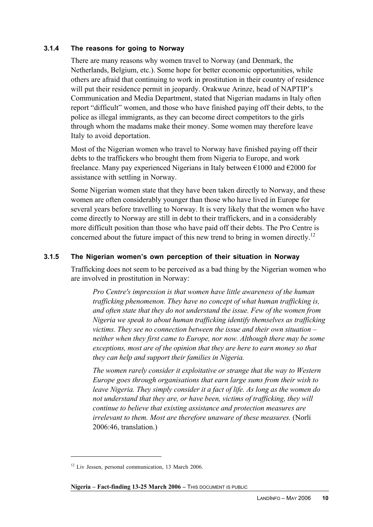# **3.1.4 The reasons for going to Norway**

There are many reasons why women travel to Norway (and Denmark, the Netherlands, Belgium, etc.). Some hope for better economic opportunities, while others are afraid that continuing to work in prostitution in their country of residence will put their residence permit in jeopardy. Orakwue Arinze, head of NAPTIP's Communication and Media Department, stated that Nigerian madams in Italy often report "difficult" women, and those who have finished paying off their debts, to the police as illegal immigrants, as they can become direct competitors to the girls through whom the madams make their money. Some women may therefore leave Italy to avoid deportation.

Most of the Nigerian women who travel to Norway have finished paying off their debts to the traffickers who brought them from Nigeria to Europe, and work freelance. Many pay experienced Nigerians in Italy between €1000 and €2000 for assistance with settling in Norway.

Some Nigerian women state that they have been taken directly to Norway, and these women are often considerably younger than those who have lived in Europe for several years before travelling to Norway. It is very likely that the women who have come directly to Norway are still in debt to their traffickers, and in a considerably more difficult position than those who have paid off their debts. The Pro Centre is concerned about the future impact of this new trend to bring in women directly.<sup>12</sup>

# **3.1.5 The Nigerian women's own perception of their situation in Norway**

Trafficking does not seem to be perceived as a bad thing by the Nigerian women who are involved in prostitution in Norway:

*Pro Centre's impression is that women have little awareness of the human trafficking phenomenon. They have no concept of what human trafficking is, and often state that they do not understand the issue. Few of the women from Nigeria we speak to about human trafficking identify themselves as trafficking victims. They see no connection between the issue and their own situation – neither when they first came to Europe, nor now. Although there may be some exceptions, most are of the opinion that they are here to earn money so that they can help and support their families in Nigeria.*

*The women rarely consider it exploitative or strange that the way to Western Europe goes through organisations that earn large sums from their wish to leave Nigeria. They simply consider it a fact of life. As long as the women do not understand that they are, or have been, victims of trafficking, they will continue to believe that existing assistance and protection measures are irrelevant to them. Most are therefore unaware of these measures.* (Norli 2006:46, translation.)

**Nigeria – Fact-finding 13-25 March 2006** – THIS DOCUMENT IS PUBLIC

<sup>&</sup>lt;sup>12</sup> Liv Jessen, personal communication, 13 March 2006.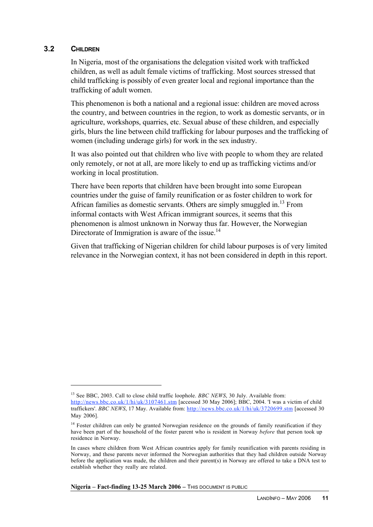### **3.2 CHILDREN**

 $\overline{a}$ 

In Nigeria, most of the organisations the delegation visited work with trafficked children, as well as adult female victims of trafficking. Most sources stressed that child trafficking is possibly of even greater local and regional importance than the trafficking of adult women.

This phenomenon is both a national and a regional issue: children are moved across the country, and between countries in the region, to work as domestic servants, or in agriculture, workshops, quarries, etc. Sexual abuse of these children, and especially girls, blurs the line between child trafficking for labour purposes and the trafficking of women (including underage girls) for work in the sex industry.

It was also pointed out that children who live with people to whom they are related only remotely, or not at all, are more likely to end up as trafficking victims and/or working in local prostitution.

There have been reports that children have been brought into some European countries under the guise of family reunification or as foster children to work for African families as domestic servants. Others are simply smuggled in.<sup>13</sup> From informal contacts with West African immigrant sources, it seems that this phenomenon is almost unknown in Norway thus far. However, the Norwegian Directorate of Immigration is aware of the issue.<sup>14</sup>

Given that trafficking of Nigerian children for child labour purposes is of very limited relevance in the Norwegian context, it has not been considered in depth in this report.

<sup>&</sup>lt;sup>13</sup> See BBC, 2003. Call to close child traffic loophole. *BBC NEWS*, 30 July. Available from:

http://news.bbc.co.uk/1/hi/uk/3107461.stm [accessed 30 May 2006]; BBC, 2004. 'I was a victim of child traffickers'. *BBC NEWS*, 17 May. Available from: http://news.bbc.co.uk/1/hi/uk/3720699.stm [accessed 30 May 2006].

<sup>&</sup>lt;sup>14</sup> Foster children can only be granted Norwegian residence on the grounds of family reunification if they have been part of the household of the foster parent who is resident in Norway *before* that person took up residence in Norway.

In cases where children from West African countries apply for family reunification with parents residing in Norway, and these parents never informed the Norwegian authorities that they had children outside Norway before the application was made, the children and their parent(s) in Norway are offered to take a DNA test to establish whether they really are related.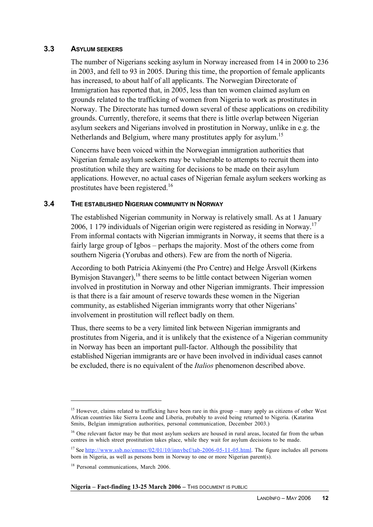### **3.3 ASYLUM SEEKERS**

The number of Nigerians seeking asylum in Norway increased from 14 in 2000 to 236 in 2003, and fell to 93 in 2005. During this time, the proportion of female applicants has increased, to about half of all applicants. The Norwegian Directorate of Immigration has reported that, in 2005, less than ten women claimed asylum on grounds related to the trafficking of women from Nigeria to work as prostitutes in Norway. The Directorate has turned down several of these applications on credibility grounds. Currently, therefore, it seems that there is little overlap between Nigerian asylum seekers and Nigerians involved in prostitution in Norway, unlike in e.g. the Netherlands and Belgium, where many prostitutes apply for asylum.<sup>15</sup>

Concerns have been voiced within the Norwegian immigration authorities that Nigerian female asylum seekers may be vulnerable to attempts to recruit them into prostitution while they are waiting for decisions to be made on their asylum applications. However, no actual cases of Nigerian female asylum seekers working as prostitutes have been registered.16

### **3.4 THE ESTABLISHED NIGERIAN COMMUNITY IN NORWAY**

The established Nigerian community in Norway is relatively small. As at 1 January 2006, 1 179 individuals of Nigerian origin were registered as residing in Norway.<sup>17</sup> From informal contacts with Nigerian immigrants in Norway, it seems that there is a fairly large group of Igbos – perhaps the majority. Most of the others come from southern Nigeria (Yorubas and others). Few are from the north of Nigeria.

According to both Patricia Akinyemi (the Pro Centre) and Helge Årsvoll (Kirkens Bymisjon Stavanger),<sup>18</sup> there seems to be little contact between Nigerian women involved in prostitution in Norway and other Nigerian immigrants. Their impression is that there is a fair amount of reserve towards these women in the Nigerian community, as established Nigerian immigrants worry that other Nigerians' involvement in prostitution will reflect badly on them.

Thus, there seems to be a very limited link between Nigerian immigrants and prostitutes from Nigeria, and it is unlikely that the existence of a Nigerian community in Norway has been an important pull-factor. Although the possibility that established Nigerian immigrants are or have been involved in individual cases cannot be excluded, there is no equivalent of the *Italios* phenomenon described above.

<sup>&</sup>lt;sup>15</sup> However, claims related to trafficking have been rare in this group – many apply as citizens of other West African countries like Sierra Leone and Liberia, probably to avoid being returned to Nigeria. (Katarina Smits, Belgian immigration authorities, personal communication, December 2003.)

<sup>&</sup>lt;sup>16</sup> One relevant factor may be that most asylum seekers are housed in rural areas, located far from the urban centres in which street prostitution takes place, while they wait for asylum decisions to be made.

<sup>&</sup>lt;sup>17</sup> See http://www.ssb.no/emner/02/01/10/innvbef/tab-2006-05-11-05.html. The figure includes all persons born in Nigeria, as well as persons born in Norway to one or more Nigerian parent(s).

<sup>&</sup>lt;sup>18</sup> Personal communications, March 2006.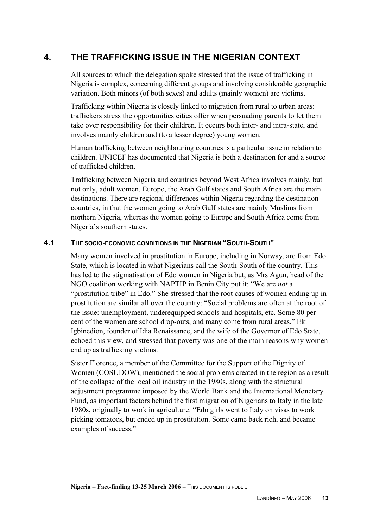# **4. THE TRAFFICKING ISSUE IN THE NIGERIAN CONTEXT**

All sources to which the delegation spoke stressed that the issue of trafficking in Nigeria is complex, concerning different groups and involving considerable geographic variation. Both minors (of both sexes) and adults (mainly women) are victims.

Trafficking within Nigeria is closely linked to migration from rural to urban areas: traffickers stress the opportunities cities offer when persuading parents to let them take over responsibility for their children. It occurs both inter- and intra-state, and involves mainly children and (to a lesser degree) young women.

Human trafficking between neighbouring countries is a particular issue in relation to children. UNICEF has documented that Nigeria is both a destination for and a source of trafficked children.

Trafficking between Nigeria and countries beyond West Africa involves mainly, but not only, adult women. Europe, the Arab Gulf states and South Africa are the main destinations. There are regional differences within Nigeria regarding the destination countries, in that the women going to Arab Gulf states are mainly Muslims from northern Nigeria, whereas the women going to Europe and South Africa come from Nigeria's southern states.

# **4.1 THE SOCIO-ECONOMIC CONDITIONS IN THE NIGERIAN "SOUTH-SOUTH"**

Many women involved in prostitution in Europe, including in Norway, are from Edo State, which is located in what Nigerians call the South-South of the country. This has led to the stigmatisation of Edo women in Nigeria but, as Mrs Agun, head of the NGO coalition working with NAPTIP in Benin City put it: "We are *not* a "prostitution tribe" in Edo." She stressed that the root causes of women ending up in prostitution are similar all over the country: "Social problems are often at the root of the issue: unemployment, underequipped schools and hospitals, etc. Some 80 per cent of the women are school drop-outs, and many come from rural areas." Eki Igbinedion, founder of Idia Renaissance, and the wife of the Governor of Edo State, echoed this view, and stressed that poverty was one of the main reasons why women end up as trafficking victims.

Sister Florence, a member of the Committee for the Support of the Dignity of Women (COSUDOW), mentioned the social problems created in the region as a result of the collapse of the local oil industry in the 1980s, along with the structural adjustment programme imposed by the World Bank and the International Monetary Fund, as important factors behind the first migration of Nigerians to Italy in the late 1980s, originally to work in agriculture: "Edo girls went to Italy on visas to work picking tomatoes, but ended up in prostitution. Some came back rich, and became examples of success."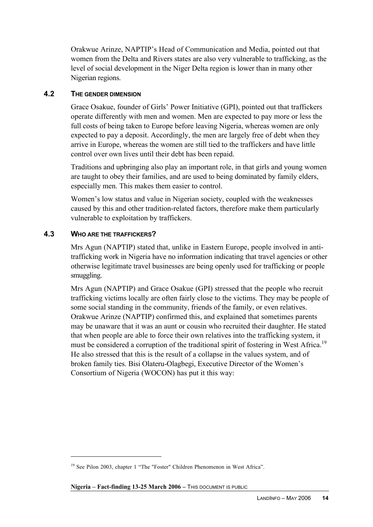Orakwue Arinze, NAPTIP's Head of Communication and Media, pointed out that women from the Delta and Rivers states are also very vulnerable to trafficking, as the level of social development in the Niger Delta region is lower than in many other Nigerian regions.

# **4.2 THE GENDER DIMENSION**

Grace Osakue, founder of Girls' Power Initiative (GPI), pointed out that traffickers operate differently with men and women. Men are expected to pay more or less the full costs of being taken to Europe before leaving Nigeria, whereas women are only expected to pay a deposit. Accordingly, the men are largely free of debt when they arrive in Europe, whereas the women are still tied to the traffickers and have little control over own lives until their debt has been repaid.

Traditions and upbringing also play an important role, in that girls and young women are taught to obey their families, and are used to being dominated by family elders, especially men. This makes them easier to control.

Women's low status and value in Nigerian society, coupled with the weaknesses caused by this and other tradition-related factors, therefore make them particularly vulnerable to exploitation by traffickers.

# **4.3 WHO ARE THE TRAFFICKERS?**

 $\overline{a}$ 

Mrs Agun (NAPTIP) stated that, unlike in Eastern Europe, people involved in antitrafficking work in Nigeria have no information indicating that travel agencies or other otherwise legitimate travel businesses are being openly used for trafficking or people smuggling.

Mrs Agun (NAPTIP) and Grace Osakue (GPI) stressed that the people who recruit trafficking victims locally are often fairly close to the victims. They may be people of some social standing in the community, friends of the family, or even relatives. Orakwue Arinze (NAPTIP) confirmed this, and explained that sometimes parents may be unaware that it was an aunt or cousin who recruited their daughter. He stated that when people are able to force their own relatives into the trafficking system, it must be considered a corruption of the traditional spirit of fostering in West Africa.<sup>19</sup> He also stressed that this is the result of a collapse in the values system, and of broken family ties. Bisi Olateru-Olagbegi, Executive Director of the Women's Consortium of Nigeria (WOCON) has put it this way:

<sup>&</sup>lt;sup>19</sup> See Pilon 2003, chapter 1 "The "Foster" Children Phenomenon in West Africa".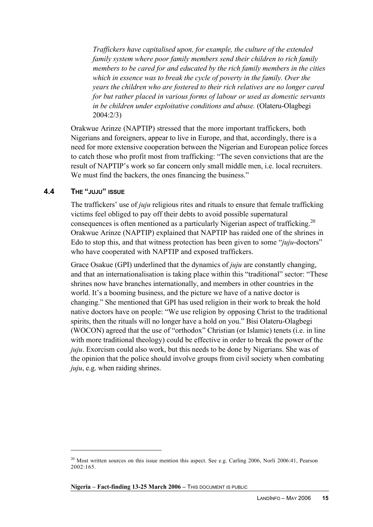*Traffickers have capitalised upon, for example, the culture of the extended family system where poor family members send their children to rich family members to be cared for and educated by the rich family members in the cities which in essence was to break the cycle of poverty in the family. Over the years the children who are fostered to their rich relatives are no longer cared for but rather placed in various forms of labour or used as domestic servants in be children under exploitative conditions and abuse.* (Olateru-Olagbegi 2004:2/3)

Orakwue Arinze (NAPTIP) stressed that the more important traffickers, both Nigerians and foreigners, appear to live in Europe, and that, accordingly, there is a need for more extensive cooperation between the Nigerian and European police forces to catch those who profit most from trafficking: "The seven convictions that are the result of NAPTIP's work so far concern only small middle men, i.e. local recruiters. We must find the backers, the ones financing the business."

### **4.4 THE "JUJU" ISSUE**

 $\overline{a}$ 

The traffickers' use of *juju* religious rites and rituals to ensure that female trafficking victims feel obliged to pay off their debts to avoid possible supernatural consequences is often mentioned as a particularly Nigerian aspect of trafficking.<sup>20</sup> Orakwue Arinze (NAPTIP) explained that NAPTIP has raided one of the shrines in Edo to stop this, and that witness protection has been given to some "*juju*-doctors" who have cooperated with NAPTIP and exposed traffickers.

Grace Osakue (GPI) underlined that the dynamics of *juju* are constantly changing, and that an internationalisation is taking place within this "traditional" sector: "These shrines now have branches internationally, and members in other countries in the world. It's a booming business, and the picture we have of a native doctor is changing." She mentioned that GPI has used religion in their work to break the hold native doctors have on people: "We use religion by opposing Christ to the traditional spirits, then the rituals will no longer have a hold on you." Bisi Olateru-Olagbegi (WOCON) agreed that the use of "orthodox" Christian (or Islamic) tenets (i.e. in line with more traditional theology) could be effective in order to break the power of the *juju*. Exorcism could also work, but this needs to be done by Nigerians. She was of the opinion that the police should involve groups from civil society when combating *juju*, e.g. when raiding shrines.

<sup>&</sup>lt;sup>20</sup> Most written sources on this issue mention this aspect. See e.g. Carling 2006, Norli 2006:41, Pearson 2002:165.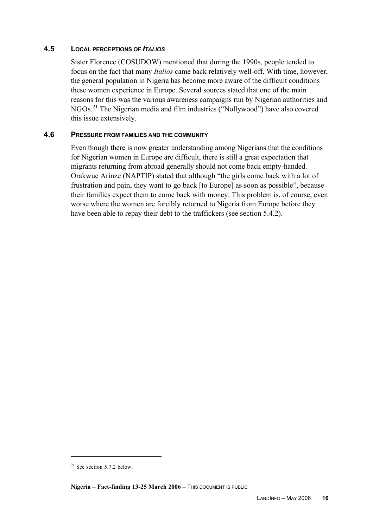# **4.5 LOCAL PERCEPTIONS OF** *ITALIOS*

Sister Florence (COSUDOW) mentioned that during the 1990s, people tended to focus on the fact that many *Italios* came back relatively well-off. With time, however, the general population in Nigeria has become more aware of the difficult conditions these women experience in Europe. Several sources stated that one of the main reasons for this was the various awareness campaigns run by Nigerian authorities and NGOs.<sup>21</sup> The Nigerian media and film industries ("Nollywood") have also covered this issue extensively.

# **4.6 PRESSURE FROM FAMILIES AND THE COMMUNITY**

Even though there is now greater understanding among Nigerians that the conditions for Nigerian women in Europe are difficult, there is still a great expectation that migrants returning from abroad generally should not come back empty-handed. Orakwue Arinze (NAPTIP) stated that although "the girls come back with a lot of frustration and pain, they want to go back [to Europe] as soon as possible", because their families expect them to come back with money. This problem is, of course, even worse where the women are forcibly returned to Nigeria from Europe before they have been able to repay their debt to the traffickers (see section 5.4.2).

 $21$  See section 5.7.2 below.

**Nigeria – Fact-finding 13-25 March 2006** – THIS DOCUMENT IS PUBLIC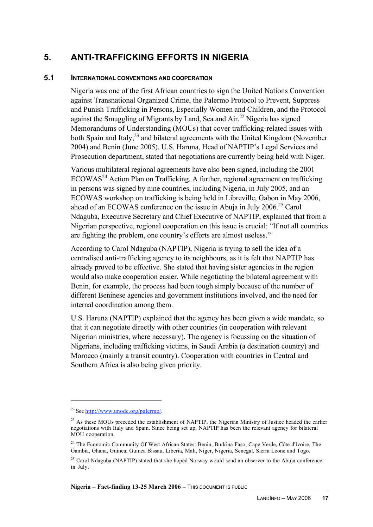# **5. ANTI-TRAFFICKING EFFORTS IN NIGERIA**

### **5.1 INTERNATIONAL CONVENTIONS AND COOPERATION**

Nigeria was one of the first African countries to sign the United Nations Convention against Transnational Organized Crime, the Palermo Protocol to Prevent, Suppress and Punish Trafficking in Persons, Especially Women and Children, and the Protocol against the Smuggling of Migrants by Land, Sea and Air.<sup>22</sup> Nigeria has signed Memorandums of Understanding (MOUs) that cover trafficking-related issues with both Spain and Italy, $^{23}$  and bilateral agreements with the United Kingdom (November 2004) and Benin (June 2005). U.S. Haruna, Head of NAPTIP's Legal Services and Prosecution department, stated that negotiations are currently being held with Niger.

Various multilateral regional agreements have also been signed, including the 2001  $ECOWAS<sup>24</sup>$  Action Plan on Trafficking. A further, regional agreement on trafficking in persons was signed by nine countries, including Nigeria, in July 2005, and an ECOWAS workshop on trafficking is being held in Libreville, Gabon in May 2006, ahead of an ECOWAS conference on the issue in Abuja in July 2006.<sup>25</sup> Carol Ndaguba, Executive Secretary and Chief Executive of NAPTIP, explained that from a Nigerian perspective, regional cooperation on this issue is crucial: "If not all countries are fighting the problem, one country's efforts are almost useless."

According to Carol Ndaguba (NAPTIP), Nigeria is trying to sell the idea of a centralised anti-trafficking agency to its neighbours, as it is felt that NAPTIP has already proved to be effective. She stated that having sister agencies in the region would also make cooperation easier. While negotiating the bilateral agreement with Benin, for example, the process had been tough simply because of the number of different Beninese agencies and government institutions involved, and the need for internal coordination among them.

U.S. Haruna (NAPTIP) explained that the agency has been given a wide mandate, so that it can negotiate directly with other countries (in cooperation with relevant Nigerian ministries, where necessary). The agency is focussing on the situation of Nigerians, including trafficking victims, in Saudi Arabia (a destination country) and Morocco (mainly a transit country). Cooperation with countries in Central and Southern Africa is also being given priority.

 $\overline{a}$ 

<sup>&</sup>lt;sup>22</sup> See <u>http://www.unodc.org/palermo/</u>

 $^{23}$  As these MOUs preceded the establishment of NAPTIP, the Nigerian Ministry of Justice headed the earlier negotiations with Italy and Spain. Since being set up, NAPTIP has been the relevant agency for bilateral MOU cooperation.

<sup>&</sup>lt;sup>24</sup> The Economic Community Of West African States: Benin, Burkina Faso, Cape Verde, Côte d'Ivoire, The Gambia, Ghana, Guinea, Guinea Bissau, Liberia, Mali, Niger, Nigeria, Senegal, Sierra Leone and Togo.

<sup>&</sup>lt;sup>25</sup> Carol Ndaguba (NAPTIP) stated that she hoped Norway would send an observer to the Abuja conference in July.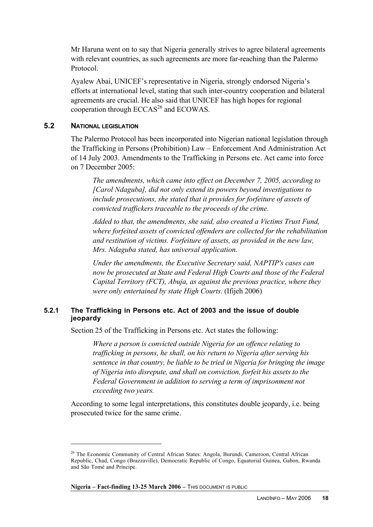Mr Haruna went on to say that Nigeria generally strives to agree bilateral agreements with relevant countries, as such agreements are more far-reaching than the Palermo Protocol.

Ayalew Abai, UNICEF's representative in Nigeria, strongly endorsed Nigeria's efforts at international level, stating that such inter-country cooperation and bilateral agreements are crucial. He also said that UNICEF has high hopes for regional cooperation through  $ECCAS<sup>26</sup>$  and  $ECOWAS$ .

### **5.2 NATIONAL LEGISLATION**

 $\overline{a}$ 

The Palermo Protocol has been incorporated into Nigerian national legislation through the Trafficking in Persons (Prohibition) Law – Enforcement And Administration Act of 14 July 2003. Amendments to the Trafficking in Persons etc. Act came into force on 7 December 2005:

*The amendments, which came into effect on December 7, 2005, according to [Carol Ndaguba], did not only extend its powers beyond investigations to include prosecutions, she stated that it provides for forfeiture of assets of convicted traffickers traceable to the proceeds of the crime.*

*Added to that, the amendments, she said, also created a Victims Trust Fund, where forfeited assets of convicted offenders are collected for the rehabilitation and restitution of victims. Forfeiture of assets, as provided in the new law, Mrs. Ndaguba stated, has universal application.*

*Under the amendments, the Executive Secretary said, NAPTIP's cases can now be prosecuted at State and Federal High Courts and those of the Federal Capital Territory (FCT), Abuja, as against the previous practice, where they were only entertained by state High Courts.* (Ifijeh 2006)

### **5.2.1 The Trafficking in Persons etc. Act of 2003 and the issue of double jeopardy**

Section 25 of the Trafficking in Persons etc. Act states the following:

*Where a person is convicted outside Nigeria for an offence relating to trafficking in persons, he shall, on his return to Nigeria after serving his sentence in that country, be liable to be tried in Nigeria for bringing the image of Nigeria into disrepute, and shall on conviction, forfeit his assets to the Federal Government in addition to serving a term of imprisonment not exceeding two years.*

According to some legal interpretations, this constitutes double jeopardy, i.e. being prosecuted twice for the same crime.

<sup>&</sup>lt;sup>26</sup> The Economic Community of Central African States: Angola, Burundi, Cameroon, Central African Republic, Chad, Congo (Brazzaville), Democratic Republic of Congo, Equatorial Guinea, Gabon, Rwanda and São Tomé and Príncipe.

**Nigeria – Fact-finding 13-25 March 2006** – THIS DOCUMENT IS PUBLIC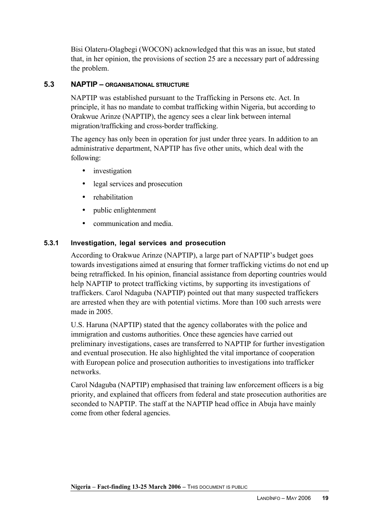Bisi Olateru-Olagbegi (WOCON) acknowledged that this was an issue, but stated that, in her opinion, the provisions of section 25 are a necessary part of addressing the problem.

# **5.3 NAPTIP – ORGANISATIONAL STRUCTURE**

NAPTIP was established pursuant to the Trafficking in Persons etc. Act. In principle, it has no mandate to combat trafficking within Nigeria, but according to Orakwue Arinze (NAPTIP), the agency sees a clear link between internal migration/trafficking and cross-border trafficking.

The agency has only been in operation for just under three years. In addition to an administrative department, NAPTIP has five other units, which deal with the following:

- investigation
- legal services and prosecution
- rehabilitation
- public enlightenment
- communication and media.

# **5.3.1 Investigation, legal services and prosecution**

According to Orakwue Arinze (NAPTIP), a large part of NAPTIP's budget goes towards investigations aimed at ensuring that former trafficking victims do not end up being retrafficked. In his opinion, financial assistance from deporting countries would help NAPTIP to protect trafficking victims, by supporting its investigations of traffickers. Carol Ndaguba (NAPTIP) pointed out that many suspected traffickers are arrested when they are with potential victims. More than 100 such arrests were made in 2005.

U.S. Haruna (NAPTIP) stated that the agency collaborates with the police and immigration and customs authorities. Once these agencies have carried out preliminary investigations, cases are transferred to NAPTIP for further investigation and eventual prosecution. He also highlighted the vital importance of cooperation with European police and prosecution authorities to investigations into trafficker networks.

Carol Ndaguba (NAPTIP) emphasised that training law enforcement officers is a big priority, and explained that officers from federal and state prosecution authorities are seconded to NAPTIP. The staff at the NAPTIP head office in Abuja have mainly come from other federal agencies.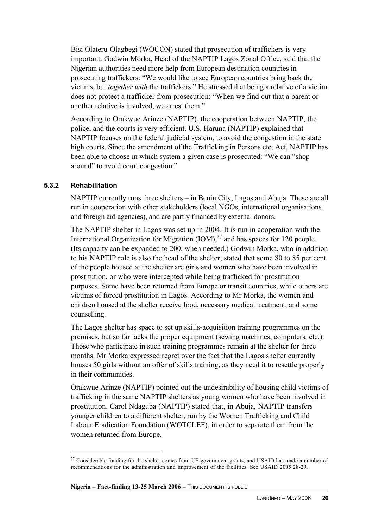Bisi Olateru-Olagbegi (WOCON) stated that prosecution of traffickers is very important. Godwin Morka, Head of the NAPTIP Lagos Zonal Office, said that the Nigerian authorities need more help from European destination countries in prosecuting traffickers: "We would like to see European countries bring back the victims, but *together with* the traffickers." He stressed that being a relative of a victim does not protect a trafficker from prosecution: "When we find out that a parent or another relative is involved, we arrest them."

According to Orakwue Arinze (NAPTIP), the cooperation between NAPTIP, the police, and the courts is very efficient. U.S. Haruna (NAPTIP) explained that NAPTIP focuses on the federal judicial system, to avoid the congestion in the state high courts. Since the amendment of the Trafficking in Persons etc. Act, NAPTIP has been able to choose in which system a given case is prosecuted: "We can "shop around" to avoid court congestion."

# **5.3.2 Rehabilitation**

 $\overline{a}$ 

NAPTIP currently runs three shelters – in Benin City, Lagos and Abuja. These are all run in cooperation with other stakeholders (local NGOs, international organisations, and foreign aid agencies), and are partly financed by external donors.

The NAPTIP shelter in Lagos was set up in 2004. It is run in cooperation with the International Organization for Migration  $(IOM)<sup>27</sup>$  and has spaces for 120 people. (Its capacity can be expanded to 200, when needed.) Godwin Morka, who in addition to his NAPTIP role is also the head of the shelter, stated that some 80 to 85 per cent of the people housed at the shelter are girls and women who have been involved in prostitution, or who were intercepted while being trafficked for prostitution purposes. Some have been returned from Europe or transit countries, while others are victims of forced prostitution in Lagos. According to Mr Morka, the women and children housed at the shelter receive food, necessary medical treatment, and some counselling.

The Lagos shelter has space to set up skills-acquisition training programmes on the premises, but so far lacks the proper equipment (sewing machines, computers, etc.). Those who participate in such training programmes remain at the shelter for three months. Mr Morka expressed regret over the fact that the Lagos shelter currently houses 50 girls without an offer of skills training, as they need it to resettle properly in their communities.

Orakwue Arinze (NAPTIP) pointed out the undesirability of housing child victims of trafficking in the same NAPTIP shelters as young women who have been involved in prostitution. Carol Ndaguba (NAPTIP) stated that, in Abuja, NAPTIP transfers younger children to a different shelter, run by the Women Trafficking and Child Labour Eradication Foundation (WOTCLEF), in order to separate them from the women returned from Europe.

<sup>&</sup>lt;sup>27</sup> Considerable funding for the shelter comes from US government grants, and USAID has made a number of recommendations for the administration and improvement of the facilities. See USAID 2005:28-29.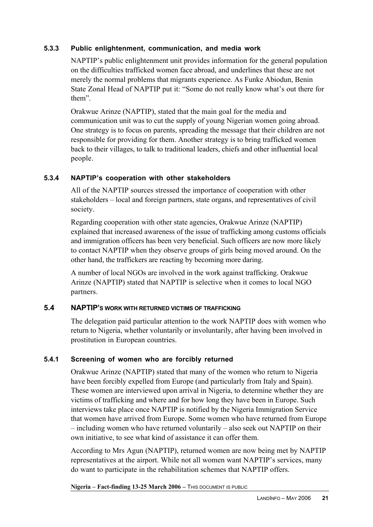# **5.3.3 Public enlightenment, communication, and media work**

NAPTIP's public enlightenment unit provides information for the general population on the difficulties trafficked women face abroad, and underlines that these are not merely the normal problems that migrants experience. As Funke Abiodun, Benin State Zonal Head of NAPTIP put it: "Some do not really know what's out there for them".

Orakwue Arinze (NAPTIP), stated that the main goal for the media and communication unit was to cut the supply of young Nigerian women going abroad. One strategy is to focus on parents, spreading the message that their children are not responsible for providing for them. Another strategy is to bring trafficked women back to their villages, to talk to traditional leaders, chiefs and other influential local people.

# **5.3.4 NAPTIP's cooperation with other stakeholders**

All of the NAPTIP sources stressed the importance of cooperation with other stakeholders – local and foreign partners, state organs, and representatives of civil society.

Regarding cooperation with other state agencies, Orakwue Arinze (NAPTIP) explained that increased awareness of the issue of trafficking among customs officials and immigration officers has been very beneficial. Such officers are now more likely to contact NAPTIP when they observe groups of girls being moved around. On the other hand, the traffickers are reacting by becoming more daring.

A number of local NGOs are involved in the work against trafficking. Orakwue Arinze (NAPTIP) stated that NAPTIP is selective when it comes to local NGO partners.

# **5.4 NAPTIP'S WORK WITH RETURNED VICTIMS OF TRAFFICKING**

The delegation paid particular attention to the work NAPTIP does with women who return to Nigeria, whether voluntarily or involuntarily, after having been involved in prostitution in European countries.

# **5.4.1 Screening of women who are forcibly returned**

Orakwue Arinze (NAPTIP) stated that many of the women who return to Nigeria have been forcibly expelled from Europe (and particularly from Italy and Spain). These women are interviewed upon arrival in Nigeria, to determine whether they are victims of trafficking and where and for how long they have been in Europe. Such interviews take place once NAPTIP is notified by the Nigeria Immigration Service that women have arrived from Europe. Some women who have returned from Europe – including women who have returned voluntarily – also seek out NAPTIP on their own initiative, to see what kind of assistance it can offer them.

According to Mrs Agun (NAPTIP), returned women are now being met by NAPTIP representatives at the airport. While not all women want NAPTIP's services, many do want to participate in the rehabilitation schemes that NAPTIP offers.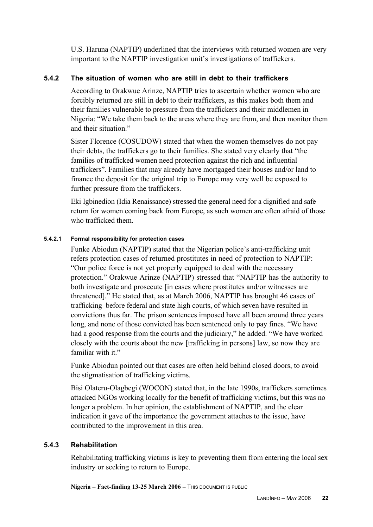U.S. Haruna (NAPTIP) underlined that the interviews with returned women are very important to the NAPTIP investigation unit's investigations of traffickers.

# **5.4.2 The situation of women who are still in debt to their traffickers**

According to Orakwue Arinze, NAPTIP tries to ascertain whether women who are forcibly returned are still in debt to their traffickers, as this makes both them and their families vulnerable to pressure from the traffickers and their middlemen in Nigeria: "We take them back to the areas where they are from, and then monitor them and their situation."

Sister Florence (COSUDOW) stated that when the women themselves do not pay their debts, the traffickers go to their families. She stated very clearly that "the families of trafficked women need protection against the rich and influential traffickers". Families that may already have mortgaged their houses and/or land to finance the deposit for the original trip to Europe may very well be exposed to further pressure from the traffickers.

Eki Igbinedion (Idia Renaissance) stressed the general need for a dignified and safe return for women coming back from Europe, as such women are often afraid of those who trafficked them.

### **5.4.2.1 Formal responsibility for protection cases**

Funke Abiodun (NAPTIP) stated that the Nigerian police's anti-trafficking unit refers protection cases of returned prostitutes in need of protection to NAPTIP: "Our police force is not yet properly equipped to deal with the necessary protection." Orakwue Arinze (NAPTIP) stressed that "NAPTIP has the authority to both investigate and prosecute [in cases where prostitutes and/or witnesses are threatened]." He stated that, as at March 2006, NAPTIP has brought 46 cases of trafficking before federal and state high courts, of which seven have resulted in convictions thus far. The prison sentences imposed have all been around three years long, and none of those convicted has been sentenced only to pay fines. "We have had a good response from the courts and the judiciary," he added. "We have worked closely with the courts about the new [trafficking in persons] law, so now they are familiar with it."

Funke Abiodun pointed out that cases are often held behind closed doors, to avoid the stigmatisation of trafficking victims.

Bisi Olateru-Olagbegi (WOCON) stated that, in the late 1990s, traffickers sometimes attacked NGOs working locally for the benefit of trafficking victims, but this was no longer a problem. In her opinion, the establishment of NAPTIP, and the clear indication it gave of the importance the government attaches to the issue, have contributed to the improvement in this area.

# **5.4.3 Rehabilitation**

Rehabilitating trafficking victims is key to preventing them from entering the local sex industry or seeking to return to Europe.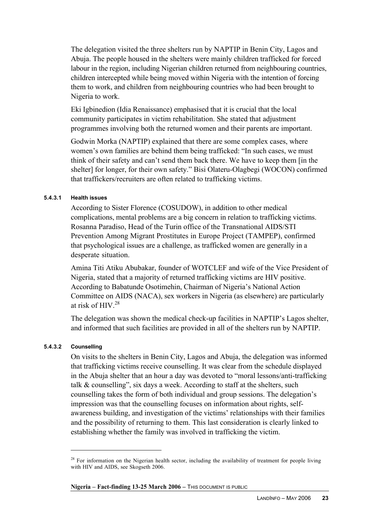The delegation visited the three shelters run by NAPTIP in Benin City, Lagos and Abuja. The people housed in the shelters were mainly children trafficked for forced labour in the region, including Nigerian children returned from neighbouring countries, children intercepted while being moved within Nigeria with the intention of forcing them to work, and children from neighbouring countries who had been brought to Nigeria to work.

Eki Igbinedion (Idia Renaissance) emphasised that it is crucial that the local community participates in victim rehabilitation. She stated that adjustment programmes involving both the returned women and their parents are important.

Godwin Morka (NAPTIP) explained that there are some complex cases, where women's own families are behind them being trafficked: "In such cases, we must think of their safety and can't send them back there. We have to keep them [in the shelter] for longer, for their own safety." Bisi Olateru-Olagbegi (WOCON) confirmed that traffickers/recruiters are often related to trafficking victims.

#### **5.4.3.1 Health issues**

According to Sister Florence (COSUDOW), in addition to other medical complications, mental problems are a big concern in relation to trafficking victims. Rosanna Paradiso, Head of the Turin office of the Transnational AIDS/STI Prevention Among Migrant Prostitutes in Europe Project (TAMPEP), confirmed that psychological issues are a challenge, as trafficked women are generally in a desperate situation.

Amina Titi Atiku Abubakar, founder of WOTCLEF and wife of the Vice President of Nigeria, stated that a majority of returned trafficking victims are HIV positive. According to Babatunde Osotimehin, Chairman of Nigeria's National Action Committee on AIDS (NACA), sex workers in Nigeria (as elsewhere) are particularly at risk of HIV.<sup>28</sup>

The delegation was shown the medical check-up facilities in NAPTIP's Lagos shelter, and informed that such facilities are provided in all of the shelters run by NAPTIP.

#### **5.4.3.2 Counselling**

 $\overline{a}$ 

On visits to the shelters in Benin City, Lagos and Abuja, the delegation was informed that trafficking victims receive counselling. It was clear from the schedule displayed in the Abuja shelter that an hour a day was devoted to "moral lessons/anti-trafficking talk & counselling", six days a week. According to staff at the shelters, such counselling takes the form of both individual and group sessions. The delegation's impression was that the counselling focuses on information about rights, selfawareness building, and investigation of the victims' relationships with their families and the possibility of returning to them. This last consideration is clearly linked to establishing whether the family was involved in trafficking the victim.

<sup>&</sup>lt;sup>28</sup> For information on the Nigerian health sector, including the availability of treatment for people living with HIV and AIDS, see Skogseth 2006.

**Nigeria – Fact-finding 13-25 March 2006** – THIS DOCUMENT IS PUBLIC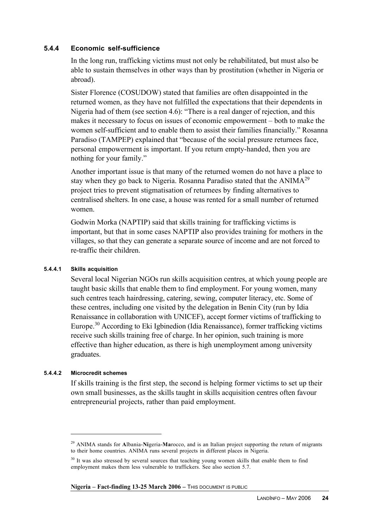# **5.4.4 Economic self-sufficience**

In the long run, trafficking victims must not only be rehabilitated, but must also be able to sustain themselves in other ways than by prostitution (whether in Nigeria or abroad).

Sister Florence (COSUDOW) stated that families are often disappointed in the returned women, as they have not fulfilled the expectations that their dependents in Nigeria had of them (see section 4.6): "There is a real danger of rejection, and this makes it necessary to focus on issues of economic empowerment – both to make the women self-sufficient and to enable them to assist their families financially." Rosanna Paradiso (TAMPEP) explained that "because of the social pressure returnees face, personal empowerment is important. If you return empty-handed, then you are nothing for your family."

Another important issue is that many of the returned women do not have a place to stay when they go back to Nigeria. Rosanna Paradiso stated that the ANIMA<sup>29</sup> project tries to prevent stigmatisation of returnees by finding alternatives to centralised shelters. In one case, a house was rented for a small number of returned women.

Godwin Morka (NAPTIP) said that skills training for trafficking victims is important, but that in some cases NAPTIP also provides training for mothers in the villages, so that they can generate a separate source of income and are not forced to re-traffic their children.

#### **5.4.4.1 Skills acquisition**

Several local Nigerian NGOs run skills acquisition centres, at which young people are taught basic skills that enable them to find employment. For young women, many such centres teach hairdressing, catering, sewing, computer literacy, etc. Some of these centres, including one visited by the delegation in Benin City (run by Idia Renaissance in collaboration with UNICEF), accept former victims of trafficking to Europe.<sup>30</sup> According to Eki Igbinedion (Idia Renaissance), former trafficking victims receive such skills training free of charge. In her opinion, such training is more effective than higher education, as there is high unemployment among university graduates.

#### **5.4.4.2 Microcredit schemes**

 $\overline{a}$ 

If skills training is the first step, the second is helping former victims to set up their own small businesses, as the skills taught in skills acquisition centres often favour entrepreneurial projects, rather than paid employment.

<sup>29</sup> ANIMA stands for **A**lbania-**Ni**geria-**Ma**rocco, and is an Italian project supporting the return of migrants to their home countries. ANIMA runs several projects in different places in Nigeria.

<sup>&</sup>lt;sup>30</sup> It was also stressed by several sources that teaching young women skills that enable them to find employment makes them less vulnerable to traffickers. See also section 5.7.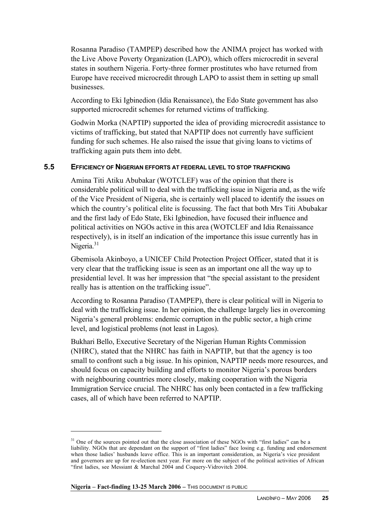Rosanna Paradiso (TAMPEP) described how the ANIMA project has worked with the Live Above Poverty Organization (LAPO), which offers microcredit in several states in southern Nigeria. Forty-three former prostitutes who have returned from Europe have received microcredit through LAPO to assist them in setting up small businesses.

According to Eki Igbinedion (Idia Renaissance), the Edo State government has also supported microcredit schemes for returned victims of trafficking.

Godwin Morka (NAPTIP) supported the idea of providing microcredit assistance to victims of trafficking, but stated that NAPTIP does not currently have sufficient funding for such schemes. He also raised the issue that giving loans to victims of trafficking again puts them into debt.

# **5.5 EFFICIENCY OF NIGERIAN EFFORTS AT FEDERAL LEVEL TO STOP TRAFFICKING**

Amina Titi Atiku Abubakar (WOTCLEF) was of the opinion that there is considerable political will to deal with the trafficking issue in Nigeria and, as the wife of the Vice President of Nigeria, she is certainly well placed to identify the issues on which the country's political elite is focussing. The fact that both Mrs Titi Abubakar and the first lady of Edo State, Eki Igbinedion, have focused their influence and political activities on NGOs active in this area (WOTCLEF and Idia Renaissance respectively), is in itself an indication of the importance this issue currently has in Nigeria.<sup>31</sup>

Gbemisola Akinboyo, a UNICEF Child Protection Project Officer, stated that it is very clear that the trafficking issue is seen as an important one all the way up to presidential level. It was her impression that "the special assistant to the president really has is attention on the trafficking issue".

According to Rosanna Paradiso (TAMPEP), there is clear political will in Nigeria to deal with the trafficking issue. In her opinion, the challenge largely lies in overcoming Nigeria's general problems: endemic corruption in the public sector, a high crime level, and logistical problems (not least in Lagos).

Bukhari Bello, Executive Secretary of the Nigerian Human Rights Commission (NHRC), stated that the NHRC has faith in NAPTIP, but that the agency is too small to confront such a big issue. In his opinion, NAPTIP needs more resources, and should focus on capacity building and efforts to monitor Nigeria's porous borders with neighbouring countries more closely, making cooperation with the Nigeria Immigration Service crucial. The NHRC has only been contacted in a few trafficking cases, all of which have been referred to NAPTIP.

<sup>&</sup>lt;sup>31</sup> One of the sources pointed out that the close association of these NGOs with "first ladies" can be a liability. NGOs that are dependant on the support of "first ladies" face losing e.g. funding and endorsement when those ladies' husbands leave office. This is an important consideration, as Nigeria's vice president and governors are up for re-election next year. For more on the subject of the political activities of African "first ladies, see Messiant & Marchal 2004 and Coquery-Vidrovitch 2004.

**Nigeria – Fact-finding 13-25 March 2006** – THIS DOCUMENT IS PUBLIC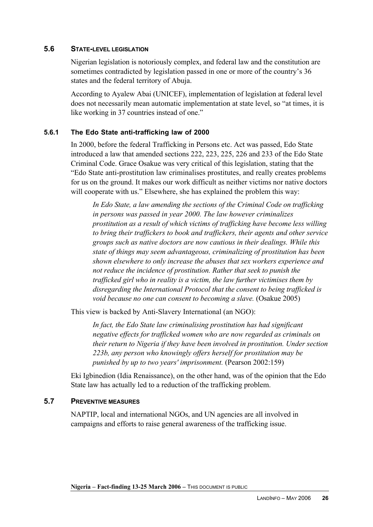# **5.6 STATE-LEVEL LEGISLATION**

Nigerian legislation is notoriously complex, and federal law and the constitution are sometimes contradicted by legislation passed in one or more of the country's 36 states and the federal territory of Abuja.

According to Ayalew Abai (UNICEF), implementation of legislation at federal level does not necessarily mean automatic implementation at state level, so "at times, it is like working in 37 countries instead of one."

# **5.6.1 The Edo State anti-trafficking law of 2000**

In 2000, before the federal Trafficking in Persons etc. Act was passed, Edo State introduced a law that amended sections 222, 223, 225, 226 and 233 of the Edo State Criminal Code. Grace Osakue was very critical of this legislation, stating that the "Edo State anti-prostitution law criminalises prostitutes, and really creates problems for us on the ground. It makes our work difficult as neither victims nor native doctors will cooperate with us." Elsewhere, she has explained the problem this way:

*In Edo State, a law amending the sections of the Criminal Code on trafficking in persons was passed in year 2000. The law however criminalizes prostitution as a result of which victims of trafficking have become less willing to bring their traffickers to book and traffickers, their agents and other service groups such as native doctors are now cautious in their dealings. While this state of things may seem advantageous, criminalizing of prostitution has been shown elsewhere to only increase the abuses that sex workers experience and not reduce the incidence of prostitution. Rather that seek to punish the trafficked girl who in reality is a victim, the law further victimises them by disregarding the International Protocol that the consent to being trafficked is void because no one can consent to becoming a slave.* (Osakue 2005)

This view is backed by Anti-Slavery International (an NGO):

*In fact, the Edo State law criminalising prostitution has had significant negative effects for trafficked women who are now regarded as criminals on their return to Nigeria if they have been involved in prostitution. Under section 223b, any person who knowingly offers herself for prostitution may be punished by up to two years' imprisonment.* (Pearson 2002:159)

Eki Igbinedion (Idia Renaissance), on the other hand, was of the opinion that the Edo State law has actually led to a reduction of the trafficking problem.

# **5.7 PREVENTIVE MEASURES**

NAPTIP, local and international NGOs, and UN agencies are all involved in campaigns and efforts to raise general awareness of the trafficking issue.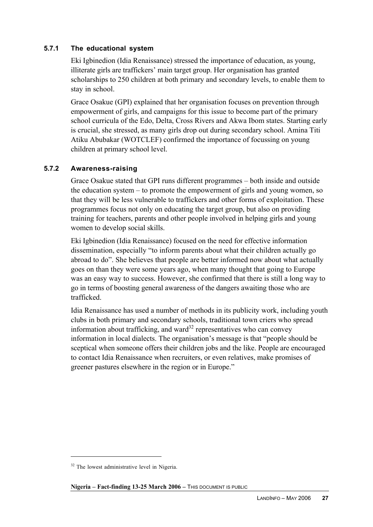# **5.7.1 The educational system**

Eki Igbinedion (Idia Renaissance) stressed the importance of education, as young, illiterate girls are traffickers' main target group. Her organisation has granted scholarships to 250 children at both primary and secondary levels, to enable them to stay in school.

Grace Osakue (GPI) explained that her organisation focuses on prevention through empowerment of girls, and campaigns for this issue to become part of the primary school curricula of the Edo, Delta, Cross Rivers and Akwa Ibom states. Starting early is crucial, she stressed, as many girls drop out during secondary school. Amina Titi Atiku Abubakar (WOTCLEF) confirmed the importance of focussing on young children at primary school level.

# **5.7.2 Awareness-raising**

Grace Osakue stated that GPI runs different programmes – both inside and outside the education system – to promote the empowerment of girls and young women, so that they will be less vulnerable to traffickers and other forms of exploitation. These programmes focus not only on educating the target group, but also on providing training for teachers, parents and other people involved in helping girls and young women to develop social skills.

Eki Igbinedion (Idia Renaissance) focused on the need for effective information dissemination, especially "to inform parents about what their children actually go abroad to do". She believes that people are better informed now about what actually goes on than they were some years ago, when many thought that going to Europe was an easy way to success. However, she confirmed that there is still a long way to go in terms of boosting general awareness of the dangers awaiting those who are trafficked.

Idia Renaissance has used a number of methods in its publicity work, including youth clubs in both primary and secondary schools, traditional town criers who spread information about trafficking, and ward<sup>32</sup> representatives who can convey information in local dialects. The organisation's message is that "people should be sceptical when someone offers their children jobs and the like. People are encouraged to contact Idia Renaissance when recruiters, or even relatives, make promises of greener pastures elsewhere in the region or in Europe."

**Nigeria – Fact-finding 13-25 March 2006** – THIS DOCUMENT IS PUBLIC

 $32$  The lowest administrative level in Nigeria.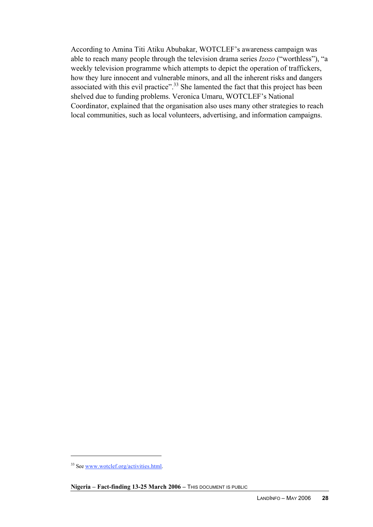According to Amina Titi Atiku Abubakar, WOTCLEF's awareness campaign was able to reach many people through the television drama series *Izozo* ("worthless"), "a weekly television programme which attempts to depict the operation of traffickers, how they lure innocent and vulnerable minors, and all the inherent risks and dangers associated with this evil practice".<sup>33</sup> She lamented the fact that this project has been shelved due to funding problems. Veronica Umaru, WOTCLEF's National Coordinator, explained that the organisation also uses many other strategies to reach local communities, such as local volunteers, advertising, and information campaigns.

<sup>&</sup>lt;sup>33</sup> See www.wotclef.org/activities.html.

Nigeria - Fact-finding 13-25 March 2006 - This DOCUMENT IS PUBLIC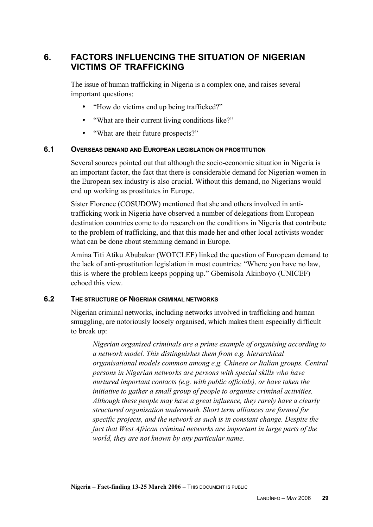# **6. FACTORS INFLUENCING THE SITUATION OF NIGERIAN VICTIMS OF TRAFFICKING**

The issue of human trafficking in Nigeria is a complex one, and raises several important questions:

- "How do victims end up being trafficked?"
- "What are their current living conditions like?"
- "What are their future prospects?"

# **6.1 OVERSEAS DEMAND AND EUROPEAN LEGISLATION ON PROSTITUTION**

Several sources pointed out that although the socio-economic situation in Nigeria is an important factor, the fact that there is considerable demand for Nigerian women in the European sex industry is also crucial. Without this demand, no Nigerians would end up working as prostitutes in Europe.

Sister Florence (COSUDOW) mentioned that she and others involved in antitrafficking work in Nigeria have observed a number of delegations from European destination countries come to do research on the conditions in Nigeria that contribute to the problem of trafficking, and that this made her and other local activists wonder what can be done about stemming demand in Europe.

Amina Titi Atiku Abubakar (WOTCLEF) linked the question of European demand to the lack of anti-prostitution legislation in most countries: "Where you have no law, this is where the problem keeps popping up." Gbemisola Akinboyo (UNICEF) echoed this view.

# **6.2 THE STRUCTURE OF NIGERIAN CRIMINAL NETWORKS**

Nigerian criminal networks, including networks involved in trafficking and human smuggling, are notoriously loosely organised, which makes them especially difficult to break up:

*Nigerian organised criminals are a prime example of organising according to a network model. This distinguishes them from e.g. hierarchical organisational models common among e.g. Chinese or Italian groups. Central persons in Nigerian networks are persons with special skills who have nurtured important contacts (e.g. with public officials), or have taken the initiative to gather a small group of people to organise criminal activities. Although these people may have a great influence, they rarely have a clearly structured organisation underneath. Short term alliances are formed for specific projects, and the network as such is in constant change. Despite the fact that West African criminal networks are important in large parts of the world, they are not known by any particular name.*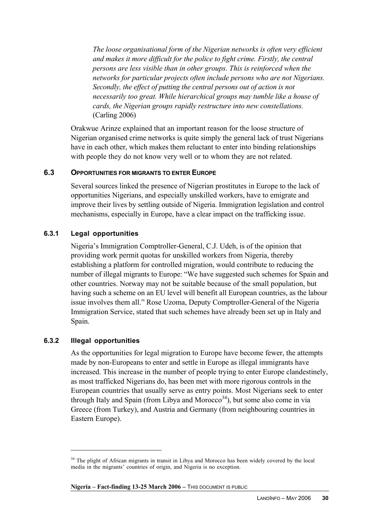*The loose organisational form of the Nigerian networks is often very efficient and makes it more difficult for the police to fight crime. Firstly, the central persons are less visible than in other groups. This is reinforced when the networks for particular projects often include persons who are not Nigerians. Secondly, the effect of putting the central persons out of action is not necessarily too great. While hierarchical groups may tumble like a house of cards, the Nigerian groups rapidly restructure into new constellations.* (Carling 2006)

Orakwue Arinze explained that an important reason for the loose structure of Nigerian organised crime networks is quite simply the general lack of trust Nigerians have in each other, which makes them reluctant to enter into binding relationships with people they do not know very well or to whom they are not related.

# **6.3 OPPORTUNITIES FOR MIGRANTS TO ENTER EUROPE**

Several sources linked the presence of Nigerian prostitutes in Europe to the lack of opportunities Nigerians, and especially unskilled workers, have to emigrate and improve their lives by settling outside of Nigeria. Immigration legislation and control mechanisms, especially in Europe, have a clear impact on the trafficking issue.

### **6.3.1 Legal opportunities**

Nigeria's Immigration Comptroller-General, C.J. Udeh, is of the opinion that providing work permit quotas for unskilled workers from Nigeria, thereby establishing a platform for controlled migration, would contribute to reducing the number of illegal migrants to Europe: "We have suggested such schemes for Spain and other countries. Norway may not be suitable because of the small population, but having such a scheme on an EU level will benefit all European countries, as the labour issue involves them all." Rose Uzoma, Deputy Comptroller-General of the Nigeria Immigration Service, stated that such schemes have already been set up in Italy and Spain.

#### **6.3.2 Illegal opportunities**

 $\overline{a}$ 

As the opportunities for legal migration to Europe have become fewer, the attempts made by non-Europeans to enter and settle in Europe as illegal immigrants have increased. This increase in the number of people trying to enter Europe clandestinely, as most trafficked Nigerians do, has been met with more rigorous controls in the European countries that usually serve as entry points. Most Nigerians seek to enter through Italy and Spain (from Libya and Morocco<sup>34</sup>), but some also come in via Greece (from Turkey), and Austria and Germany (from neighbouring countries in Eastern Europe).

<sup>&</sup>lt;sup>34</sup> The plight of African migrants in transit in Libya and Morocco has been widely covered by the local media in the migrants' countries of origin, and Nigeria is no exception.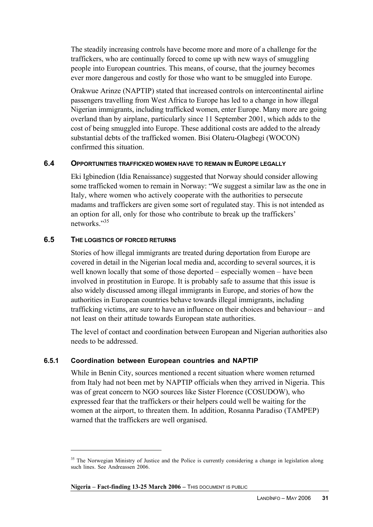The steadily increasing controls have become more and more of a challenge for the traffickers, who are continually forced to come up with new ways of smuggling people into European countries. This means, of course, that the journey becomes ever more dangerous and costly for those who want to be smuggled into Europe.

Orakwue Arinze (NAPTIP) stated that increased controls on intercontinental airline passengers travelling from West Africa to Europe has led to a change in how illegal Nigerian immigrants, including trafficked women, enter Europe. Many more are going overland than by airplane, particularly since 11 September 2001, which adds to the cost of being smuggled into Europe. These additional costs are added to the already substantial debts of the trafficked women. Bisi Olateru-Olagbegi (WOCON) confirmed this situation.

### **6.4 OPPORTUNITIES TRAFFICKED WOMEN HAVE TO REMAIN IN EUROPE LEGALLY**

Eki Igbinedion (Idia Renaissance) suggested that Norway should consider allowing some trafficked women to remain in Norway: "We suggest a similar law as the one in Italy, where women who actively cooperate with the authorities to persecute madams and traffickers are given some sort of regulated stay. This is not intended as an option for all, only for those who contribute to break up the traffickers' networks<sup>"35</sup>

### **6.5 THE LOGISTICS OF FORCED RETURNS**

 $\overline{a}$ 

Stories of how illegal immigrants are treated during deportation from Europe are covered in detail in the Nigerian local media and, according to several sources, it is well known locally that some of those deported – especially women – have been involved in prostitution in Europe. It is probably safe to assume that this issue is also widely discussed among illegal immigrants in Europe, and stories of how the authorities in European countries behave towards illegal immigrants, including trafficking victims, are sure to have an influence on their choices and behaviour – and not least on their attitude towards European state authorities.

The level of contact and coordination between European and Nigerian authorities also needs to be addressed.

# **6.5.1 Coordination between European countries and NAPTIP**

While in Benin City, sources mentioned a recent situation where women returned from Italy had not been met by NAPTIP officials when they arrived in Nigeria. This was of great concern to NGO sources like Sister Florence (COSUDOW), who expressed fear that the traffickers or their helpers could well be waiting for the women at the airport, to threaten them. In addition, Rosanna Paradiso (TAMPEP) warned that the traffickers are well organised.

<sup>&</sup>lt;sup>35</sup> The Norwegian Ministry of Justice and the Police is currently considering a change in legislation along such lines. See Andreassen 2006.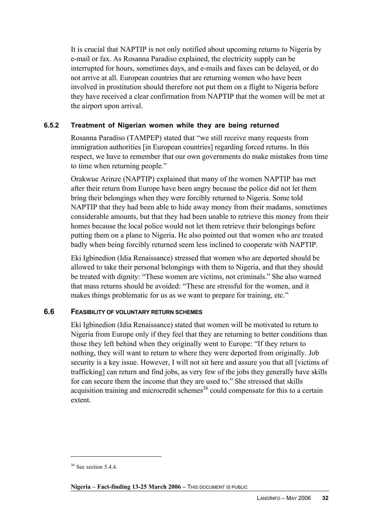It is crucial that NAPTIP is not only notified about upcoming returns to Nigeria by e-mail or fax. As Rosanna Paradiso explained, the electricity supply can be interrupted for hours, sometimes days, and e-mails and faxes can be delayed, or do not arrive at all. European countries that are returning women who have been involved in prostitution should therefore not put them on a flight to Nigeria before they have received a clear confirmation from NAPTIP that the women will be met at the airport upon arrival.

# **6.5.2 Treatment of Nigerian women while they are being returned**

Rosanna Paradiso (TAMPEP) stated that "we still receive many requests from immigration authorities [in European countries] regarding forced returns. In this respect, we have to remember that our own governments do make mistakes from time to time when returning people."

Orakwue Arinze (NAPTIP) explained that many of the women NAPTIP has met after their return from Europe have been angry because the police did not let them bring their belongings when they were forcibly returned to Nigeria. Some told NAPTIP that they had been able to hide away money from their madams, sometimes considerable amounts, but that they had been unable to retrieve this money from their homes because the local police would not let them retrieve their belongings before putting them on a plane to Nigeria. He also pointed out that women who are treated badly when being forcibly returned seem less inclined to cooperate with NAPTIP.

Eki Igbinedion (Idia Renaissance) stressed that women who are deported should be allowed to take their personal belongings with them to Nigeria, and that they should be treated with dignity: "These women are victims, not criminals." She also warned that mass returns should be avoided: "These are stressful for the women, and it makes things problematic for us as we want to prepare for training, etc."

# **6.6 FEASIBILITY OF VOLUNTARY RETURN SCHEMES**

Eki Igbinedion (Idia Renaissance) stated that women will be motivated to return to Nigeria from Europe only if they feel that they are returning to better conditions than those they left behind when they originally went to Europe: "If they return to nothing, they will want to return to where they were deported from originally. Job security is a key issue. However, I will not sit here and assure you that all [victims of trafficking] can return and find jobs, as very few of the jobs they generally have skills for can secure them the income that they are used to." She stressed that skills acquisition training and microcredit schemes<sup>36</sup> could compensate for this to a certain extent.

 $36$  See section 5.4.4.

**Nigeria – Fact-finding 13-25 March 2006** – THIS DOCUMENT IS PUBLIC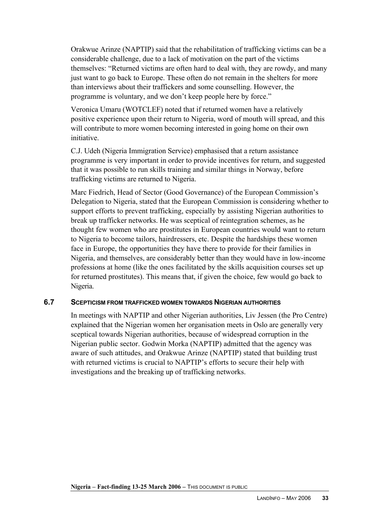Orakwue Arinze (NAPTIP) said that the rehabilitation of trafficking victims can be a considerable challenge, due to a lack of motivation on the part of the victims themselves: "Returned victims are often hard to deal with, they are rowdy, and many just want to go back to Europe. These often do not remain in the shelters for more than interviews about their traffickers and some counselling. However, the programme is voluntary, and we don't keep people here by force."

Veronica Umaru (WOTCLEF) noted that if returned women have a relatively positive experience upon their return to Nigeria, word of mouth will spread, and this will contribute to more women becoming interested in going home on their own initiative.

C.J. Udeh (Nigeria Immigration Service) emphasised that a return assistance programme is very important in order to provide incentives for return, and suggested that it was possible to run skills training and similar things in Norway, before trafficking victims are returned to Nigeria.

Marc Fiedrich, Head of Sector (Good Governance) of the European Commission's Delegation to Nigeria, stated that the European Commission is considering whether to support efforts to prevent trafficking, especially by assisting Nigerian authorities to break up trafficker networks. He was sceptical of reintegration schemes, as he thought few women who are prostitutes in European countries would want to return to Nigeria to become tailors, hairdressers, etc. Despite the hardships these women face in Europe, the opportunities they have there to provide for their families in Nigeria, and themselves, are considerably better than they would have in low-income professions at home (like the ones facilitated by the skills acquisition courses set up for returned prostitutes). This means that, if given the choice, few would go back to Nigeria.

# **6.7 SCEPTICISM FROM TRAFFICKED WOMEN TOWARDS NIGERIAN AUTHORITIES**

In meetings with NAPTIP and other Nigerian authorities, Liv Jessen (the Pro Centre) explained that the Nigerian women her organisation meets in Oslo are generally very sceptical towards Nigerian authorities, because of widespread corruption in the Nigerian public sector. Godwin Morka (NAPTIP) admitted that the agency was aware of such attitudes, and Orakwue Arinze (NAPTIP) stated that building trust with returned victims is crucial to NAPTIP's efforts to secure their help with investigations and the breaking up of trafficking networks.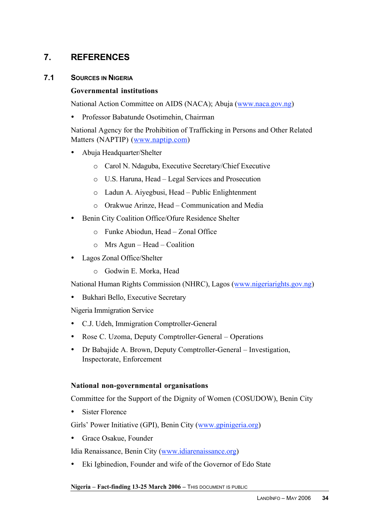# **7. REFERENCES**

# **7.1 SOURCES IN NIGERIA**

# **Governmental institutions**

National Action Committee on AIDS (NACA); Abuja (www.naca.gov.ng)

• Professor Babatunde Osotimehin, Chairman

National Agency for the Prohibition of Trafficking in Persons and Other Related Matters (NAPTIP) (www.naptip.com)

- Abuja Headquarter/Shelter
	- o Carol N. Ndaguba, Executive Secretary/Chief Executive
	- o U.S. Haruna, Head Legal Services and Prosecution
	- o Ladun A. Aiyegbusi, Head Public Enlightenment
	- o Orakwue Arinze, Head Communication and Media
- Benin City Coalition Office/Ofure Residence Shelter
	- o Funke Abiodun, Head Zonal Office
	- o Mrs Agun Head Coalition
- Lagos Zonal Office/Shelter
	- o Godwin E. Morka, Head

National Human Rights Commission (NHRC), Lagos (www.nigeriarights.gov.ng)

• Bukhari Bello, Executive Secretary

Nigeria Immigration Service

- C.J. Udeh, Immigration Comptroller-General
- Rose C. Uzoma, Deputy Comptroller-General Operations
- Dr Babajide A. Brown, Deputy Comptroller-General Investigation, Inspectorate, Enforcement

# **National non-governmental organisations**

Committee for the Support of the Dignity of Women (COSUDOW), Benin City

• Sister Florence

Girls' Power Initiative (GPI), Benin City (www.gpinigeria.org)

• Grace Osakue, Founder

Idia Renaissance, Benin City (www.idiarenaissance.org)

• Eki Igbinedion, Founder and wife of the Governor of Edo State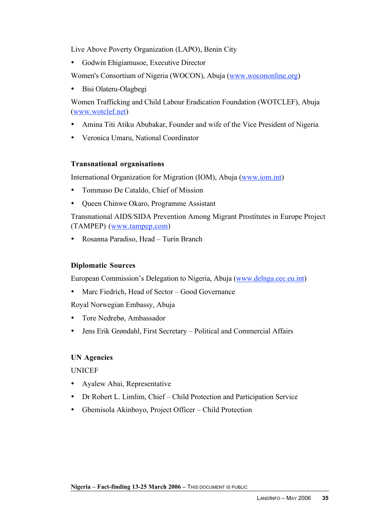Live Above Poverty Organization (LAPO), Benin City

• Godwin Ehigiamusoe, Executive Director

Women's Consortium of Nigeria (WOCON), Abuja (www.wocononline.org)

• Bisi Olateru-Olagbegi

Women Trafficking and Child Labour Eradication Foundation (WOTCLEF), Abuja (www.wotclef.net)

- Amina Titi Atiku Abubakar, Founder and wife of the Vice President of Nigeria
- Veronica Umaru, National Coordinator

# **Transnational organisations**

International Organization for Migration (IOM), Abuja (www.iom.int)

- Tommaso De Cataldo, Chief of Mission
- Queen Chinwe Okaro, Programme Assistant

Transnational AIDS/SIDA Prevention Among Migrant Prostitutes in Europe Project (TAMPEP) (www.tampep.com)

• Rosanna Paradiso, Head – Turin Branch

# **Diplomatic Sources**

European Commission's Delegation to Nigeria, Abuja (www.delnga.cec.eu.int)

• Marc Fiedrich, Head of Sector – Good Governance

Royal Norwegian Embassy, Abuja

- Tore Nedrebø, Ambassador
- Jens Erik Grøndahl, First Secretary Political and Commercial Affairs

# **UN Agencies**

UNICEF

- Ayalew Abai, Representative
- Dr Robert L. Limlim, Chief Child Protection and Participation Service
- Gbemisola Akinboyo, Project Officer Child Protection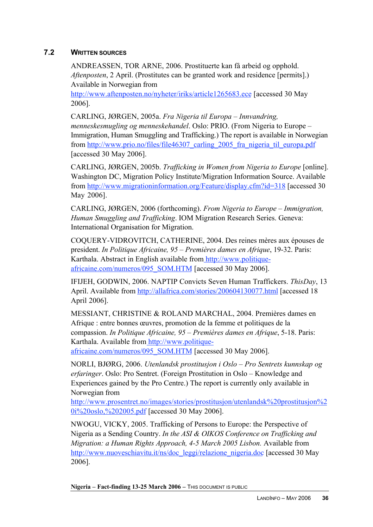# **7.2 WRITTEN SOURCES**

ANDREASSEN, TOR ARNE, 2006. Prostituerte kan få arbeid og opphold. *Aftenposten*, 2 April. (Prostitutes can be granted work and residence [permits].) Available in Norwegian from

http://www.aftenposten.no/nyheter/iriks/article1265683.ece [accessed 30 May 2006].

CARLING, JØRGEN, 2005a. *Fra Nigeria til Europa – Innvandring, menneskesmugling og menneskehandel*. Oslo: PRIO. (From Nigeria to Europe – Immigration, Human Smuggling and Trafficking.) The report is available in Norwegian from http://www.prio.no/files/file46307 carling 2005 fra nigeria til europa.pdf [accessed 30 May 2006].

CARLING, JØRGEN, 2005b. *Trafficking in Women from Nigeria to Europe* [online]. Washington DC, Migration Policy Institute/Migration Information Source. Available from http://www.migrationinformation.org/Feature/display.cfm?id=318 [accessed 30 May 2006].

CARLING, JØRGEN, 2006 (forthcoming). *From Nigeria to Europe – Immigration, Human Smuggling and Trafficking*. IOM Migration Research Series. Geneva: International Organisation for Migration.

COQUERY-VIDROVITCH, CATHERINE, 2004. Des reines mères aux épouses de president. *In Politique Africaine, 95 – Premières dames en Afrique*, 19-32. Paris: Karthala. Abstract in English available from http://www.politiqueafricaine.com/numeros/095\_SOM.HTM [accessed 30 May 2006].

IFIJEH, GODWIN, 2006. NAPTIP Convicts Seven Human Traffickers. *ThisDay*, 13 April. Available from http://allafrica.com/stories/200604130077.html [accessed 18 April 2006].

MESSIANT, CHRISTINE & ROLAND MARCHAL, 2004. Premières dames en Afrique : entre bonnes œuvres, promotion de la femme et politiques de la compassion. *In Politique Africaine, 95 – Premières dames en Afrique*, 5-18. Paris: Karthala. Available from http://www.politique-

africaine.com/numeros/095\_SOM.HTM [accessed 30 May 2006].

NORLI, BJØRG, 2006. *Utenlandsk prostitusjon i Oslo – Pro Sentrets kunnskap og erfaringer*. Oslo: Pro Sentret. (Foreign Prostitution in Oslo – Knowledge and Experiences gained by the Pro Centre.) The report is currently only available in Norwegian from

http://www.prosentret.no/images/stories/prostitusjon/utenlandsk%20prostitusjon%2 0i%20oslo,%202005.pdf [accessed 30 May 2006].

NWOGU, VICKY, 2005. Trafficking of Persons to Europe: the Perspective of Nigeria as a Sending Country. *In the ASI & OIKOS Conference on Trafficking and Migration: a Human Rights Approach, 4-5 March 2005 Lisbon.* Available from http://www.nuoveschiavitu.it/ns/doc\_leggi/relazione\_nigeria.doc [accessed 30 May 2006].